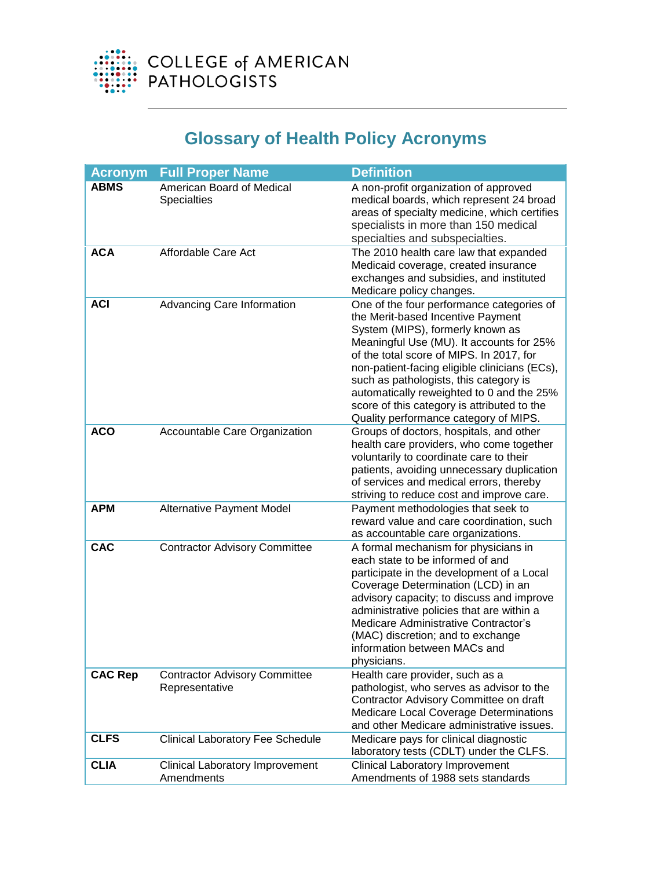

## **Glossary of Health Policy Acronyms**

| <b>Acronym</b> | <b>Full Proper Name</b>                                | <b>Definition</b>                                                                                                                                                                                                                                                                                                                                                                                                                          |
|----------------|--------------------------------------------------------|--------------------------------------------------------------------------------------------------------------------------------------------------------------------------------------------------------------------------------------------------------------------------------------------------------------------------------------------------------------------------------------------------------------------------------------------|
| <b>ABMS</b>    | American Board of Medical<br><b>Specialties</b>        | A non-profit organization of approved<br>medical boards, which represent 24 broad<br>areas of specialty medicine, which certifies<br>specialists in more than 150 medical<br>specialties and subspecialties.                                                                                                                                                                                                                               |
| <b>ACA</b>     | Affordable Care Act                                    | The 2010 health care law that expanded<br>Medicaid coverage, created insurance<br>exchanges and subsidies, and instituted<br>Medicare policy changes.                                                                                                                                                                                                                                                                                      |
| <b>ACI</b>     | Advancing Care Information                             | One of the four performance categories of<br>the Merit-based Incentive Payment<br>System (MIPS), formerly known as<br>Meaningful Use (MU). It accounts for 25%<br>of the total score of MIPS. In 2017, for<br>non-patient-facing eligible clinicians (ECs),<br>such as pathologists, this category is<br>automatically reweighted to 0 and the 25%<br>score of this category is attributed to the<br>Quality performance category of MIPS. |
| <b>ACO</b>     | Accountable Care Organization                          | Groups of doctors, hospitals, and other<br>health care providers, who come together<br>voluntarily to coordinate care to their<br>patients, avoiding unnecessary duplication<br>of services and medical errors, thereby<br>striving to reduce cost and improve care.                                                                                                                                                                       |
| <b>APM</b>     | Alternative Payment Model                              | Payment methodologies that seek to<br>reward value and care coordination, such<br>as accountable care organizations.                                                                                                                                                                                                                                                                                                                       |
| <b>CAC</b>     | <b>Contractor Advisory Committee</b>                   | A formal mechanism for physicians in<br>each state to be informed of and<br>participate in the development of a Local<br>Coverage Determination (LCD) in an<br>advisory capacity; to discuss and improve<br>administrative policies that are within a<br>Medicare Administrative Contractor's<br>(MAC) discretion; and to exchange<br>information between MACs and<br>physicians.                                                          |
| <b>CAC Rep</b> | <b>Contractor Advisory Committee</b><br>Representative | Health care provider, such as a<br>pathologist, who serves as advisor to the<br>Contractor Advisory Committee on draft<br><b>Medicare Local Coverage Determinations</b><br>and other Medicare administrative issues.                                                                                                                                                                                                                       |
| <b>CLFS</b>    | <b>Clinical Laboratory Fee Schedule</b>                | Medicare pays for clinical diagnostic<br>laboratory tests (CDLT) under the CLFS.                                                                                                                                                                                                                                                                                                                                                           |
| <b>CLIA</b>    | <b>Clinical Laboratory Improvement</b><br>Amendments   | <b>Clinical Laboratory Improvement</b><br>Amendments of 1988 sets standards                                                                                                                                                                                                                                                                                                                                                                |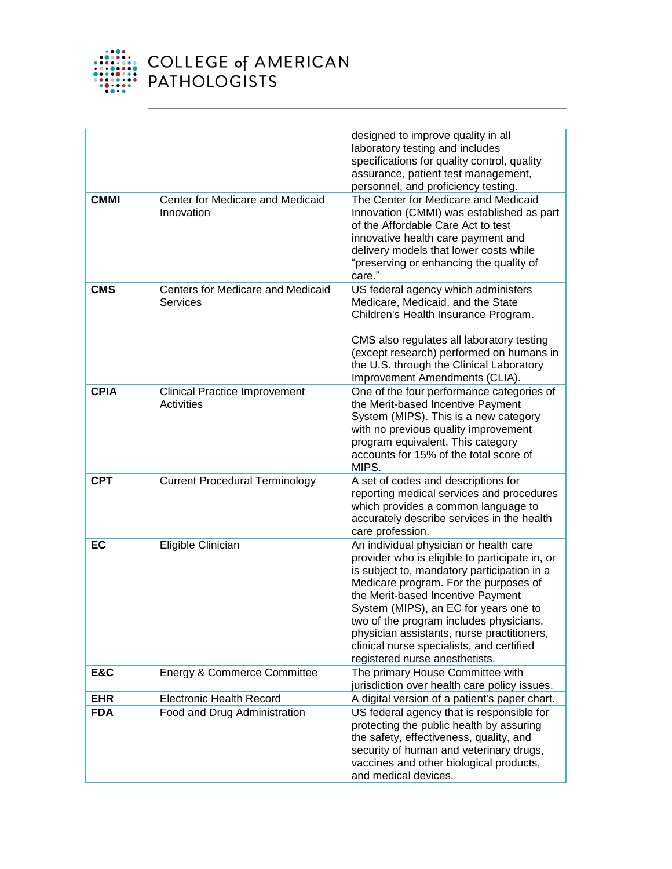

|             |                                                    | designed to improve quality in all<br>laboratory testing and includes<br>specifications for quality control, quality<br>assurance, patient test management,<br>personnel, and proficiency testing.                                                                                                                                                                                                                                     |
|-------------|----------------------------------------------------|----------------------------------------------------------------------------------------------------------------------------------------------------------------------------------------------------------------------------------------------------------------------------------------------------------------------------------------------------------------------------------------------------------------------------------------|
| <b>CMMI</b> | Center for Medicare and Medicaid<br>Innovation     | The Center for Medicare and Medicaid<br>Innovation (CMMI) was established as part<br>of the Affordable Care Act to test<br>innovative health care payment and<br>delivery models that lower costs while<br>"preserving or enhancing the quality of<br>care."                                                                                                                                                                           |
| <b>CMS</b>  | Centers for Medicare and Medicaid<br>Services      | US federal agency which administers<br>Medicare, Medicaid, and the State<br>Children's Health Insurance Program.<br>CMS also regulates all laboratory testing<br>(except research) performed on humans in<br>the U.S. through the Clinical Laboratory<br>Improvement Amendments (CLIA).                                                                                                                                                |
| <b>CPIA</b> | <b>Clinical Practice Improvement</b><br>Activities | One of the four performance categories of<br>the Merit-based Incentive Payment<br>System (MIPS). This is a new category<br>with no previous quality improvement<br>program equivalent. This category<br>accounts for 15% of the total score of<br>MIPS.                                                                                                                                                                                |
| <b>CPT</b>  | <b>Current Procedural Terminology</b>              | A set of codes and descriptions for<br>reporting medical services and procedures<br>which provides a common language to<br>accurately describe services in the health<br>care profession.                                                                                                                                                                                                                                              |
| EC          | Eligible Clinician                                 | An individual physician or health care<br>provider who is eligible to participate in, or<br>is subject to, mandatory participation in a<br>Medicare program. For the purposes of<br>the Merit-based Incentive Payment<br>System (MIPS), an EC for years one to<br>two of the program includes physicians,<br>physician assistants, nurse practitioners,<br>clinical nurse specialists, and certified<br>registered nurse anesthetists. |
| E&C         | Energy & Commerce Committee                        | The primary House Committee with<br>jurisdiction over health care policy issues.                                                                                                                                                                                                                                                                                                                                                       |
| <b>EHR</b>  | <b>Electronic Health Record</b>                    | A digital version of a patient's paper chart.                                                                                                                                                                                                                                                                                                                                                                                          |
| <b>FDA</b>  | Food and Drug Administration                       | US federal agency that is responsible for<br>protecting the public health by assuring<br>the safety, effectiveness, quality, and<br>security of human and veterinary drugs,<br>vaccines and other biological products,<br>and medical devices.                                                                                                                                                                                         |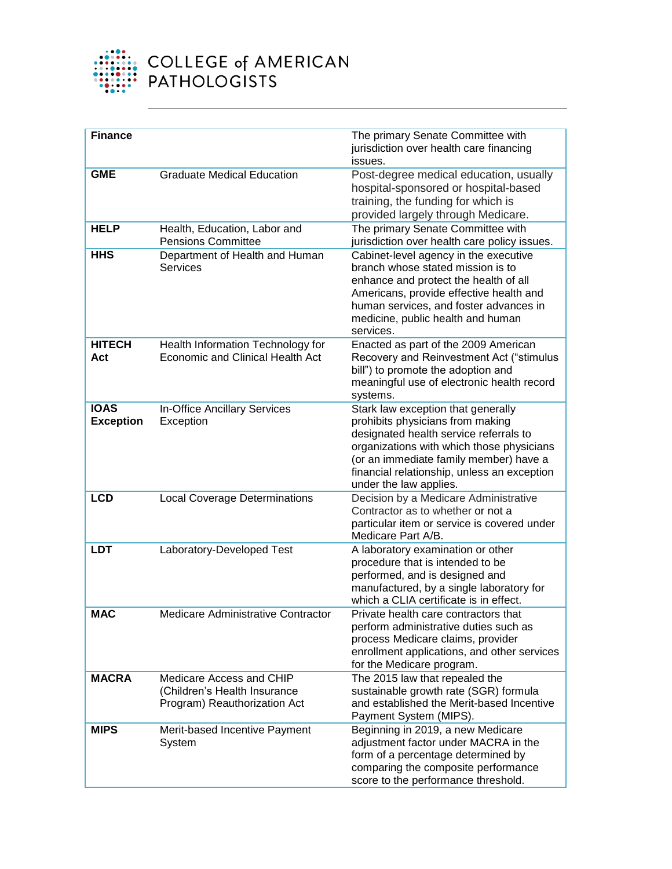

| <b>Finance</b>                  |                                                                                          | The primary Senate Committee with<br>jurisdiction over health care financing<br>issues.                                                                                                                                                                                          |
|---------------------------------|------------------------------------------------------------------------------------------|----------------------------------------------------------------------------------------------------------------------------------------------------------------------------------------------------------------------------------------------------------------------------------|
| <b>GME</b>                      | <b>Graduate Medical Education</b>                                                        | Post-degree medical education, usually<br>hospital-sponsored or hospital-based<br>training, the funding for which is<br>provided largely through Medicare.                                                                                                                       |
| <b>HELP</b>                     | Health, Education, Labor and<br><b>Pensions Committee</b>                                | The primary Senate Committee with<br>jurisdiction over health care policy issues.                                                                                                                                                                                                |
| <b>HHS</b>                      | Department of Health and Human<br><b>Services</b>                                        | Cabinet-level agency in the executive<br>branch whose stated mission is to<br>enhance and protect the health of all<br>Americans, provide effective health and<br>human services, and foster advances in<br>medicine, public health and human<br>services.                       |
| <b>HITECH</b><br>Act            | Health Information Technology for<br><b>Economic and Clinical Health Act</b>             | Enacted as part of the 2009 American<br>Recovery and Reinvestment Act ("stimulus<br>bill") to promote the adoption and<br>meaningful use of electronic health record<br>systems.                                                                                                 |
| <b>IOAS</b><br><b>Exception</b> | In-Office Ancillary Services<br>Exception                                                | Stark law exception that generally<br>prohibits physicians from making<br>designated health service referrals to<br>organizations with which those physicians<br>(or an immediate family member) have a<br>financial relationship, unless an exception<br>under the law applies. |
| <b>LCD</b>                      | <b>Local Coverage Determinations</b>                                                     | Decision by a Medicare Administrative<br>Contractor as to whether or not a<br>particular item or service is covered under<br>Medicare Part A/B.                                                                                                                                  |
| <b>LDT</b>                      | Laboratory-Developed Test                                                                | A laboratory examination or other<br>procedure that is intended to be<br>performed, and is designed and<br>manufactured, by a single laboratory for<br>which a CLIA certificate is in effect.                                                                                    |
| MAC                             | Medicare Administrative Contractor                                                       | Private health care contractors that<br>perform administrative duties such as<br>process Medicare claims, provider<br>enrollment applications, and other services<br>for the Medicare program.                                                                                   |
| <b>MACRA</b>                    | Medicare Access and CHIP<br>(Children's Health Insurance<br>Program) Reauthorization Act | The 2015 law that repealed the<br>sustainable growth rate (SGR) formula<br>and established the Merit-based Incentive<br>Payment System (MIPS).                                                                                                                                   |
| <b>MIPS</b>                     | Merit-based Incentive Payment<br>System                                                  | Beginning in 2019, a new Medicare<br>adjustment factor under MACRA in the<br>form of a percentage determined by<br>comparing the composite performance<br>score to the performance threshold.                                                                                    |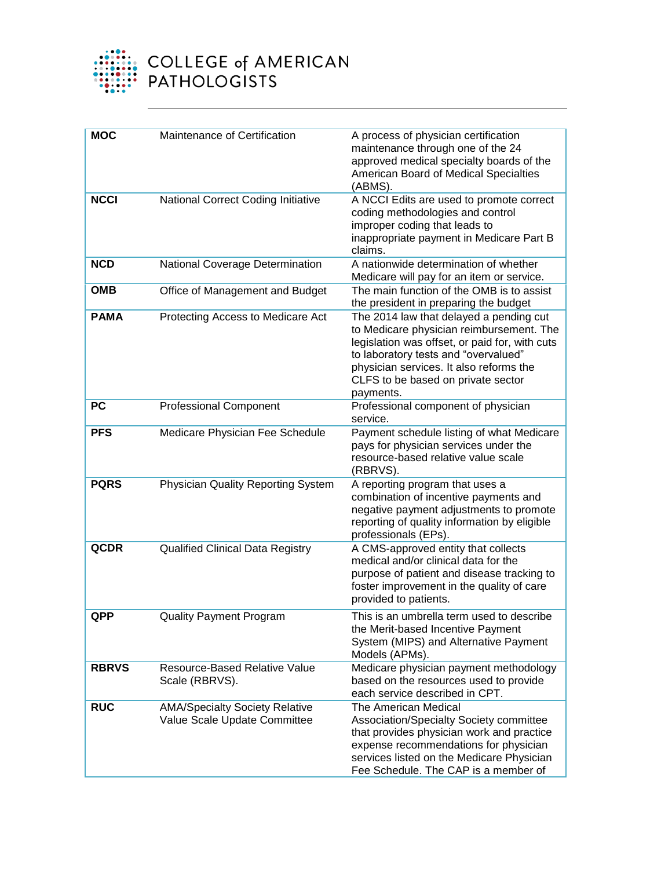

| <b>MOC</b>   | Maintenance of Certification                                          | A process of physician certification<br>maintenance through one of the 24<br>approved medical specialty boards of the<br>American Board of Medical Specialties<br>(ABMS).                                                                                                   |
|--------------|-----------------------------------------------------------------------|-----------------------------------------------------------------------------------------------------------------------------------------------------------------------------------------------------------------------------------------------------------------------------|
| <b>NCCI</b>  | National Correct Coding Initiative                                    | A NCCI Edits are used to promote correct<br>coding methodologies and control<br>improper coding that leads to<br>inappropriate payment in Medicare Part B<br>claims.                                                                                                        |
| <b>NCD</b>   | National Coverage Determination                                       | A nationwide determination of whether<br>Medicare will pay for an item or service.                                                                                                                                                                                          |
| <b>OMB</b>   | Office of Management and Budget                                       | The main function of the OMB is to assist<br>the president in preparing the budget                                                                                                                                                                                          |
| <b>PAMA</b>  | Protecting Access to Medicare Act                                     | The 2014 law that delayed a pending cut<br>to Medicare physician reimbursement. The<br>legislation was offset, or paid for, with cuts<br>to laboratory tests and "overvalued"<br>physician services. It also reforms the<br>CLFS to be based on private sector<br>payments. |
| <b>PC</b>    | <b>Professional Component</b>                                         | Professional component of physician<br>service.                                                                                                                                                                                                                             |
| <b>PFS</b>   | Medicare Physician Fee Schedule                                       | Payment schedule listing of what Medicare<br>pays for physician services under the<br>resource-based relative value scale<br>(RBRVS).                                                                                                                                       |
| <b>PQRS</b>  | <b>Physician Quality Reporting System</b>                             | A reporting program that uses a<br>combination of incentive payments and<br>negative payment adjustments to promote<br>reporting of quality information by eligible<br>professionals (EPs).                                                                                 |
| <b>QCDR</b>  | <b>Qualified Clinical Data Registry</b>                               | A CMS-approved entity that collects<br>medical and/or clinical data for the<br>purpose of patient and disease tracking to<br>foster improvement in the quality of care<br>provided to patients.                                                                             |
| QPP          | <b>Quality Payment Program</b>                                        | This is an umbrella term used to describe<br>the Merit-based Incentive Payment<br>System (MIPS) and Alternative Payment<br>Models (APMs).                                                                                                                                   |
| <b>RBRVS</b> | <b>Resource-Based Relative Value</b><br>Scale (RBRVS).                | Medicare physician payment methodology<br>based on the resources used to provide<br>each service described in CPT.                                                                                                                                                          |
| <b>RUC</b>   | <b>AMA/Specialty Society Relative</b><br>Value Scale Update Committee | The American Medical<br>Association/Specialty Society committee<br>that provides physician work and practice<br>expense recommendations for physician<br>services listed on the Medicare Physician<br>Fee Schedule. The CAP is a member of                                  |